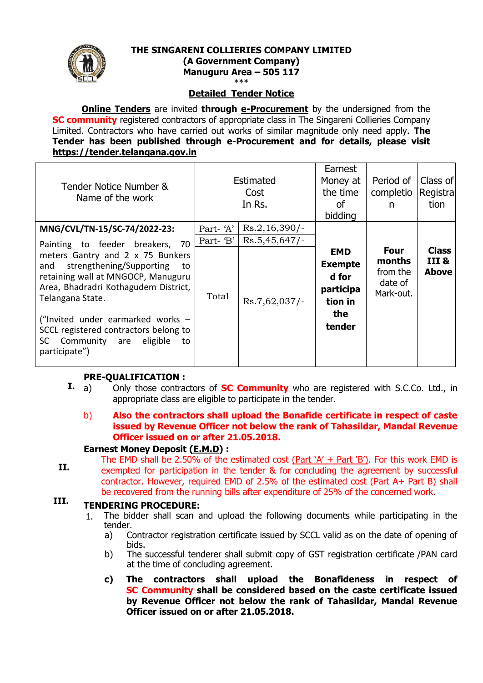

#### **THE SINGARENI COLLIERIES COMPANY LIMITED**

**(A Government Company)**

**Manuguru Area – 505 117**

\*\*\*

### **Detailed Tender Notice**

**Online Tenders** are invited **through e-Procurement** by the undersigned from the **SC community** registered contractors of appropriate class in The Singareni Collieries Company Limited. Contractors who have carried out works of similar magnitude only need apply. **The Tender has been published through e-Procurement and for details, please visit [https://tender.telangana.gov.in](https://tender.telangana.gov.in/)**

| Tender Notice Number &<br>Name of the work                                                                                                                                  | <b>Estimated</b><br>Cost<br>In Rs. |                  | Earnest<br>Money at<br>the time<br>οf<br>bidding              | Period of<br>completio<br>n                               | Class of<br>Registra<br>tion          |
|-----------------------------------------------------------------------------------------------------------------------------------------------------------------------------|------------------------------------|------------------|---------------------------------------------------------------|-----------------------------------------------------------|---------------------------------------|
| MNG/CVL/TN-15/SC-74/2022-23:                                                                                                                                                | Part-'A'                           | $Rs.2,16,390/-$  |                                                               |                                                           |                                       |
| Painting to feeder breakers, 70                                                                                                                                             | Part- 'B'                          | $Rs.5,45,647/-$  |                                                               |                                                           |                                       |
| meters Gantry and 2 x 75 Bunkers<br>strengthening/Supporting<br>and<br>to<br>retaining wall at MNGOCP, Manuguru<br>Area, Bhadradri Kothagudem District,<br>Telangana State. | Total                              | $Rs.7,62,037/$ - | <b>EMD</b><br><b>Exempte</b><br>d for<br>participa<br>tion in | <b>Four</b><br>months<br>from the<br>date of<br>Mark-out. | <b>Class</b><br>III &<br><b>Above</b> |
| ("Invited under earmarked works -<br>SCCL registered contractors belong to<br>Community are<br>eligible<br>SC.<br>to<br>participate")                                       |                                    |                  | the<br>tender                                                 |                                                           |                                       |

### **PRE-QUALIFICATION :**

- **I.** a) Only those contractors of **SC Community** who are registered with S.C.Co. Ltd., in appropriate class are eligible to participate in the tender.
	- b) **Also the contractors shall upload the Bonafide certificate in respect of caste issued by Revenue Officer not below the rank of Tahasildar, Mandal Revenue Officer issued on or after 21.05.2018.**

#### **Earnest Money Deposit (E.M.D) :**

**II.** The EMD shall be 2.50% of the estimated cost (Part  $'A' + Part'B'$ ). For this work EMD is exempted for participation in the tender & for concluding the agreement by successful contractor. However, required EMD of 2.5% of the estimated cost (Part A+ Part B) shall be recovered from the running bills after expenditure of 25% of the concerned work.

#### **III. TENDERING PROCEDURE:**

- 1. The bidder shall scan and upload the following documents while participating in the tender.
	- a) Contractor registration certificate issued by SCCL valid as on the date of opening of bids.
	- b) The successful tenderer shall submit copy of GST registration certificate /PAN card at the time of concluding agreement.
	- **c) The contractors shall upload the Bonafideness in respect of SC Community shall be considered based on the caste certificate issued by Revenue Officer not below the rank of Tahasildar, Mandal Revenue Officer issued on or after 21.05.2018.**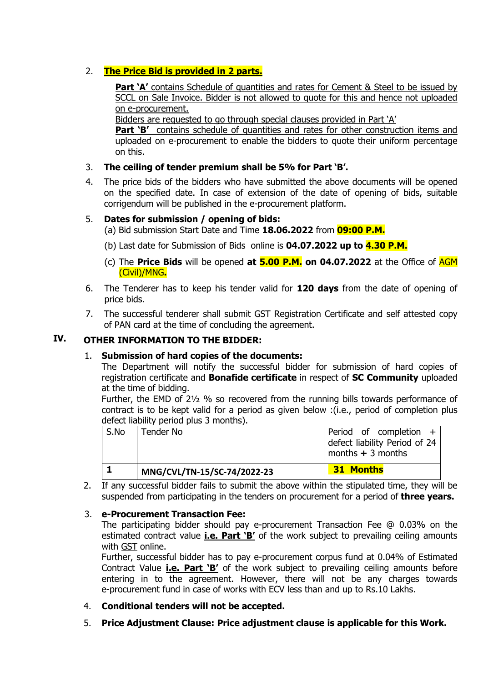# 2. **The Price Bid is provided in 2 parts.**

**Part 'A'** contains Schedule of quantities and rates for Cement & Steel to be issued by SCCL on Sale Invoice. Bidder is not allowed to quote for this and hence not uploaded on e-procurement.

Bidders are requested to go through special clauses provided in Part 'A'

**Part 'B'** contains schedule of quantities and rates for other construction items and uploaded on e-procurement to enable the bidders to quote their uniform percentage on this.

### 3. **The ceiling of tender premium shall be 5% for Part 'B'.**

4. The price bids of the bidders who have submitted the above documents will be opened on the specified date. In case of extension of the date of opening of bids, suitable corrigendum will be published in the e-procurement platform.

### 5. **Dates for submission / opening of bids:**

(a) Bid submission Start Date and Time **18.06.2022** from **09:00 P.M.**

- (b) Last date for Submission of Bids online is **04.07.2022 up to 4.30 P.M.**
- (c) The **Price Bids** will be opened **at 5.00 P.M. on 04.07.2022** at the Office of AGM (Civil)/MNG**.**
- 6. The Tenderer has to keep his tender valid for **120 days** from the date of opening of price bids.
- 7. The successful tenderer shall submit GST Registration Certificate and self attested copy of PAN card at the time of concluding the agreement.

## **IV. OTHER INFORMATION TO THE BIDDER:**

### 1. **Submission of hard copies of the documents:**

The Department will notify the successful bidder for submission of hard copies of registration certificate and **Bonafide certificate** in respect of **SC Community** uploaded at the time of bidding.

Further, the EMD of 2½ % so recovered from the running bills towards performance of contract is to be kept valid for a period as given below :(i.e., period of completion plus defect liability period plus 3 months).

|      | MNG/CVL/TN-15/SC-74/2022-23 | <b>31 Months</b>                                                              |
|------|-----------------------------|-------------------------------------------------------------------------------|
| S.No | Tender No                   | Period of completion +<br>defect liability Period of 24<br>months $+3$ months |

2. If any successful bidder fails to submit the above within the stipulated time, they will be suspended from participating in the tenders on procurement for a period of **three years.**

### 3. **e-Procurement Transaction Fee:**

The participating bidder should pay e-procurement Transaction Fee @ 0.03% on the estimated contract value **i.e. Part 'B'** of the work subject to prevailing ceiling amounts with GST online.

Further, successful bidder has to pay e-procurement corpus fund at 0.04% of Estimated Contract Value **i.e. Part 'B'** of the work subject to prevailing ceiling amounts before entering in to the agreement. However, there will not be any charges towards e-procurement fund in case of works with ECV less than and up to Rs.10 Lakhs.

- 4. **Conditional tenders will not be accepted.**
- 5. **Price Adjustment Clause: Price adjustment clause is applicable for this Work.**